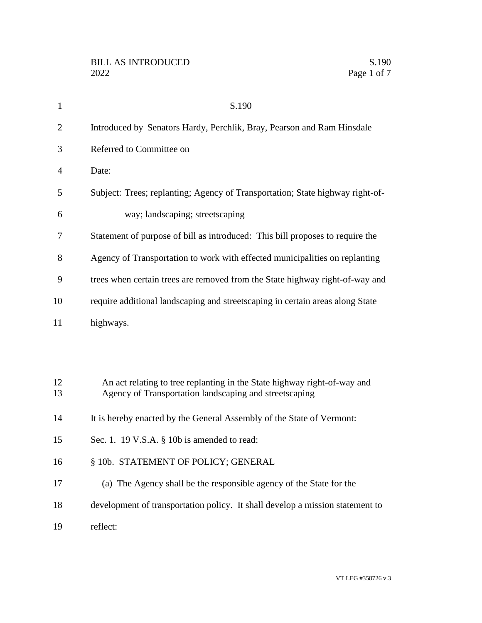| $\mathbf{1}$   | S.190                                                                                                                              |
|----------------|------------------------------------------------------------------------------------------------------------------------------------|
| $\overline{2}$ | Introduced by Senators Hardy, Perchlik, Bray, Pearson and Ram Hinsdale                                                             |
| 3              | Referred to Committee on                                                                                                           |
| 4              | Date:                                                                                                                              |
| 5              | Subject: Trees; replanting; Agency of Transportation; State highway right-of-                                                      |
| 6              | way; landscaping; streetscaping                                                                                                    |
| 7              | Statement of purpose of bill as introduced: This bill proposes to require the                                                      |
| 8              | Agency of Transportation to work with effected municipalities on replanting                                                        |
| 9              | trees when certain trees are removed from the State highway right-of-way and                                                       |
| 10             | require additional landscaping and streetscaping in certain areas along State                                                      |
| 11             | highways.                                                                                                                          |
|                |                                                                                                                                    |
|                |                                                                                                                                    |
| 12<br>13       | An act relating to tree replanting in the State highway right-of-way and<br>Agency of Transportation landscaping and streetscaping |
| 14             | It is hereby enacted by the General Assembly of the State of Vermont:                                                              |
| 15             | Sec. 1. 19 V.S.A. § 10b is amended to read:                                                                                        |
| 16             | § 10b. STATEMENT OF POLICY; GENERAL                                                                                                |
| 17             | (a) The Agency shall be the responsible agency of the State for the                                                                |
| 18             | development of transportation policy. It shall develop a mission statement to                                                      |
| 19             | reflect:                                                                                                                           |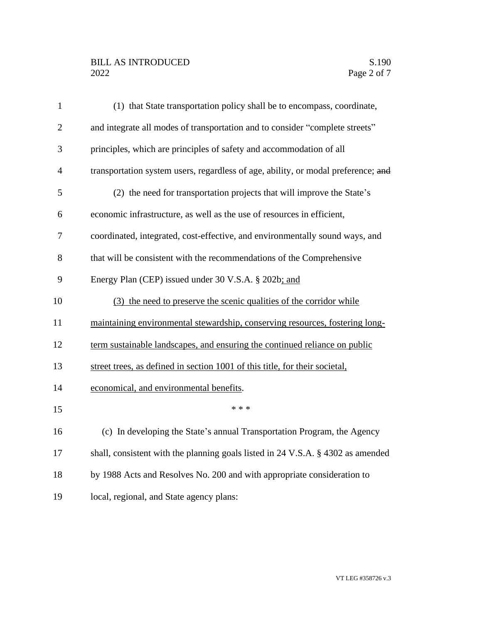## BILL AS INTRODUCED<br>2022 Page 2 of 7

| $\mathbf{1}$   | (1) that State transportation policy shall be to encompass, coordinate,           |
|----------------|-----------------------------------------------------------------------------------|
| $\overline{2}$ | and integrate all modes of transportation and to consider "complete streets"      |
| 3              | principles, which are principles of safety and accommodation of all               |
| $\overline{4}$ | transportation system users, regardless of age, ability, or modal preference; and |
| 5              | (2) the need for transportation projects that will improve the State's            |
| 6              | economic infrastructure, as well as the use of resources in efficient,            |
| 7              | coordinated, integrated, cost-effective, and environmentally sound ways, and      |
| 8              | that will be consistent with the recommendations of the Comprehensive             |
| 9              | Energy Plan (CEP) issued under 30 V.S.A. § 202b; and                              |
| 10             | (3) the need to preserve the scenic qualities of the corridor while               |
| 11             | maintaining environmental stewardship, conserving resources, fostering long-      |
| 12             | term sustainable landscapes, and ensuring the continued reliance on public        |
| 13             | street trees, as defined in section 1001 of this title, for their societal,       |
| 14             | economical, and environmental benefits.                                           |
| 15             | * * *                                                                             |
| 16             | (c) In developing the State's annual Transportation Program, the Agency           |
| 17             | shall, consistent with the planning goals listed in 24 V.S.A. § 4302 as amended   |
| 18             | by 1988 Acts and Resolves No. 200 and with appropriate consideration to           |
| 19             | local, regional, and State agency plans:                                          |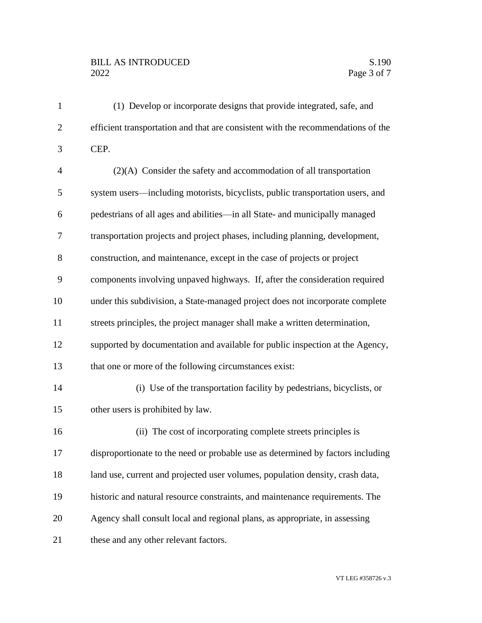## BILL AS INTRODUCED<br>2022 Page 3 of 7

| $\mathbf{1}$   | (1) Develop or incorporate designs that provide integrated, safe, and            |
|----------------|----------------------------------------------------------------------------------|
| $\overline{2}$ | efficient transportation and that are consistent with the recommendations of the |
| 3              | CEP.                                                                             |
| $\overline{4}$ | $(2)(A)$ Consider the safety and accommodation of all transportation             |
| 5              | system users—including motorists, bicyclists, public transportation users, and   |
| 6              | pedestrians of all ages and abilities—in all State- and municipally managed      |
| 7              | transportation projects and project phases, including planning, development,     |
| 8              | construction, and maintenance, except in the case of projects or project         |
| 9              | components involving unpaved highways. If, after the consideration required      |
| 10             | under this subdivision, a State-managed project does not incorporate complete    |
| 11             | streets principles, the project manager shall make a written determination,      |
| 12             | supported by documentation and available for public inspection at the Agency,    |
| 13             | that one or more of the following circumstances exist:                           |
| 14             | (i) Use of the transportation facility by pedestrians, bicyclists, or            |
| 15             | other users is prohibited by law.                                                |
| 16             | (ii) The cost of incorporating complete streets principles is                    |
| 17             | disproportionate to the need or probable use as determined by factors including  |
| 18             | land use, current and projected user volumes, population density, crash data,    |
| 19             | historic and natural resource constraints, and maintenance requirements. The     |
| 20             | Agency shall consult local and regional plans, as appropriate, in assessing      |
| 21             | these and any other relevant factors.                                            |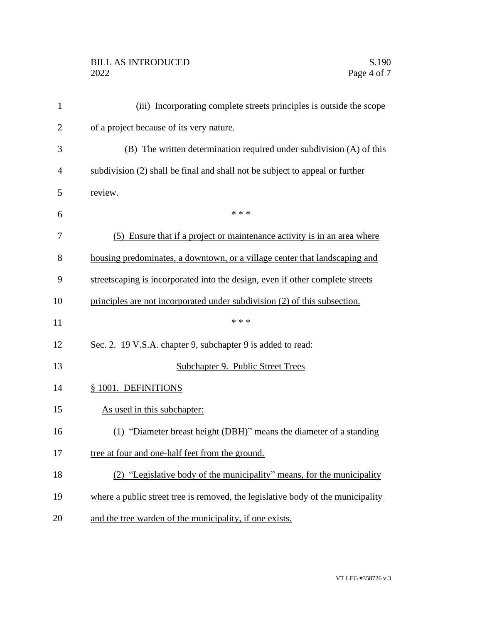## BILL AS INTRODUCED<br>2022 Page 4 of 7

| $\mathbf{1}$   | (iii) Incorporating complete streets principles is outside the scope            |
|----------------|---------------------------------------------------------------------------------|
| $\overline{2}$ | of a project because of its very nature.                                        |
| 3              | (B) The written determination required under subdivision (A) of this            |
| 4              | subdivision (2) shall be final and shall not be subject to appeal or further    |
| 5              | review.                                                                         |
| 6              | * * *                                                                           |
| 7              | (5) Ensure that if a project or maintenance activity is in an area where        |
| 8              | housing predominates, a downtown, or a village center that landscaping and      |
| 9              | streetscaping is incorporated into the design, even if other complete streets   |
| 10             | principles are not incorporated under subdivision (2) of this subsection.       |
| 11             | * * *                                                                           |
| 12             | Sec. 2. 19 V.S.A. chapter 9, subchapter 9 is added to read:                     |
| 13             | Subchapter 9. Public Street Trees                                               |
| 14             | § 1001. DEFINITIONS                                                             |
| 15             | As used in this subchapter:                                                     |
| 16             | (1) "Diameter breast height (DBH)" means the diameter of a standing             |
| 17             | tree at four and one-half feet from the ground.                                 |
| 18             | (2) "Legislative body of the municipality" means, for the municipality          |
| 19             | where a public street tree is removed, the legislative body of the municipality |
| 20             | and the tree warden of the municipality, if one exists.                         |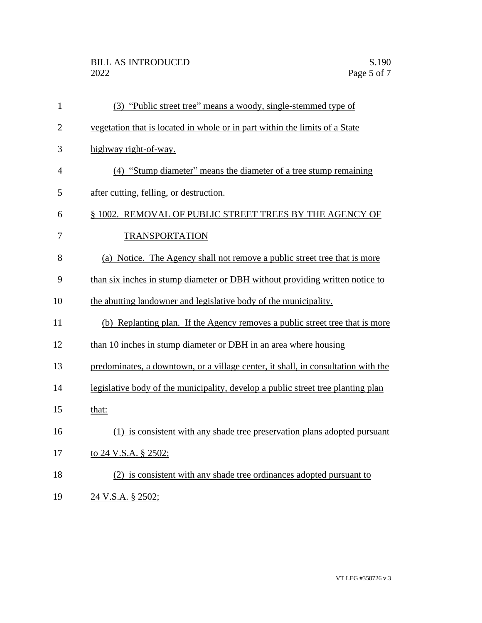## BILL AS INTRODUCED<br>2022 Page 5 of 7

| $\mathbf{1}$   | (3) "Public street tree" means a woody, single-stemmed type of                    |
|----------------|-----------------------------------------------------------------------------------|
| $\overline{2}$ | vegetation that is located in whole or in part within the limits of a State       |
| 3              | highway right-of-way.                                                             |
| $\overline{4}$ | (4) "Stump diameter" means the diameter of a tree stump remaining                 |
| 5              | after cutting, felling, or destruction.                                           |
| 6              | § 1002. REMOVAL OF PUBLIC STREET TREES BY THE AGENCY OF                           |
| 7              | <b>TRANSPORTATION</b>                                                             |
| 8              | (a) Notice. The Agency shall not remove a public street tree that is more         |
| 9              | than six inches in stump diameter or DBH without providing written notice to      |
| 10             | the abutting landowner and legislative body of the municipality.                  |
| 11             | (b) Replanting plan. If the Agency removes a public street tree that is more      |
| 12             | than 10 inches in stump diameter or DBH in an area where housing                  |
| 13             | predominates, a downtown, or a village center, it shall, in consultation with the |
| 14             | legislative body of the municipality, develop a public street tree planting plan  |
| 15             | that:                                                                             |
| 16             | (1) is consistent with any shade tree preservation plans adopted pursuant         |
| 17             | to 24 V.S.A. § 2502;                                                              |
| 18             | (2) is consistent with any shade tree ordinances adopted pursuant to              |
| 19             | 24 V.S.A. § 2502;                                                                 |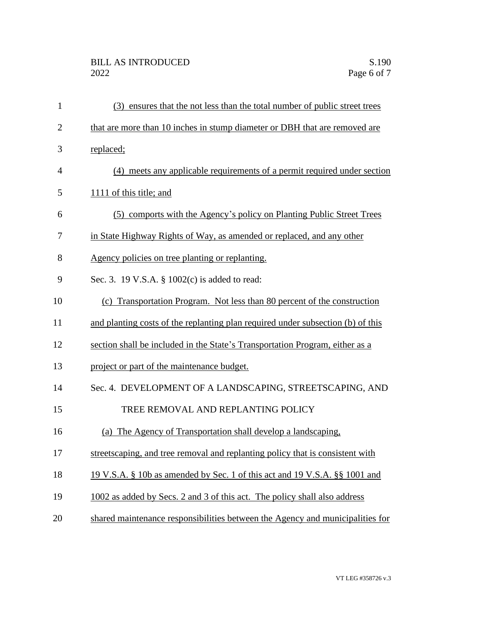| $\mathbf{1}$   | (3) ensures that the not less than the total number of public street trees      |
|----------------|---------------------------------------------------------------------------------|
| $\overline{2}$ | that are more than 10 inches in stump diameter or DBH that are removed are      |
| 3              | replaced;                                                                       |
| 4              | (4) meets any applicable requirements of a permit required under section        |
| 5              | 1111 of this title; and                                                         |
| 6              | comports with the Agency's policy on Planting Public Street Trees<br>(5)        |
| 7              | in State Highway Rights of Way, as amended or replaced, and any other           |
| 8              | Agency policies on tree planting or replanting.                                 |
| 9              | Sec. 3. 19 V.S.A. § 1002(c) is added to read:                                   |
| 10             | (c) Transportation Program. Not less than 80 percent of the construction        |
| 11             | and planting costs of the replanting plan required under subsection (b) of this |
| 12             | section shall be included in the State's Transportation Program, either as a    |
| 13             | project or part of the maintenance budget.                                      |
| 14             | Sec. 4. DEVELOPMENT OF A LANDSCAPING, STREETSCAPING, AND                        |
| 15             | TREE REMOVAL AND REPLANTING POLICY                                              |
| 16             | (a) The Agency of Transportation shall develop a landscaping,                   |
| 17             | streetscaping, and tree removal and replanting policy that is consistent with   |
| 18             | 19 V.S.A. § 10b as amended by Sec. 1 of this act and 19 V.S.A. § § 1001 and     |
| 19             | 1002 as added by Secs. 2 and 3 of this act. The policy shall also address       |
| 20             | shared maintenance responsibilities between the Agency and municipalities for   |